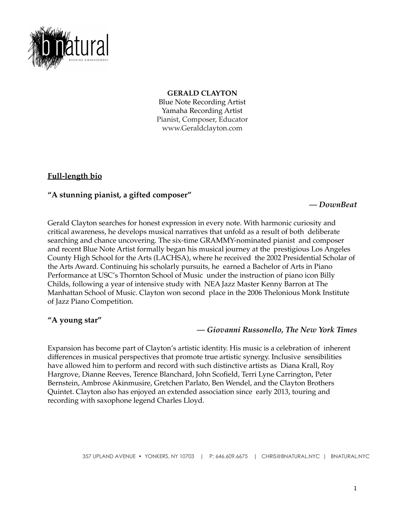

#### **GERALD CLAYTON**

Blue Note Recording Artist Yamaha Recording Artist Pianist, Composer, Educator www.Geraldclayton.com

# **Full-length bio**

## **"A stunning pianist, a gifted composer"**

#### *— DownBeat*

Gerald Clayton searches for honest expression in every note. With harmonic curiosity and critical awareness, he develops musical narratives that unfold as a result of both deliberate searching and chance uncovering. The six-time GRAMMY-nominated pianist and composer and recent Blue Note Artist formally began his musical journey at the prestigious Los Angeles County High School for the Arts (LACHSA), where he received the 2002 Presidential Scholar of the Arts Award. Continuing his scholarly pursuits, he earned a Bachelor of Arts in Piano Performance at USC's Thornton School of Music under the instruction of piano icon Billy Childs, following a year of intensive study with NEA Jazz Master Kenny Barron at The Manhattan School of Music. Clayton won second place in the 2006 Thelonious Monk Institute of Jazz Piano Competition.

## **"A young star"**

## *— Giovanni Russonello, The New York Times*

Expansion has become part of Clayton's artistic identity. His music is a celebration of inherent differences in musical perspectives that promote true artistic synergy. Inclusive sensibilities have allowed him to perform and record with such distinctive artists as Diana Krall, Roy Hargrove, Dianne Reeves, Terence Blanchard, John Scofield, Terri Lyne Carrington, Peter Bernstein, Ambrose Akinmusire, Gretchen Parlato, Ben Wendel, and the Clayton Brothers Quintet. Clayton also has enjoyed an extended association since early 2013, touring and recording with saxophone legend Charles Lloyd.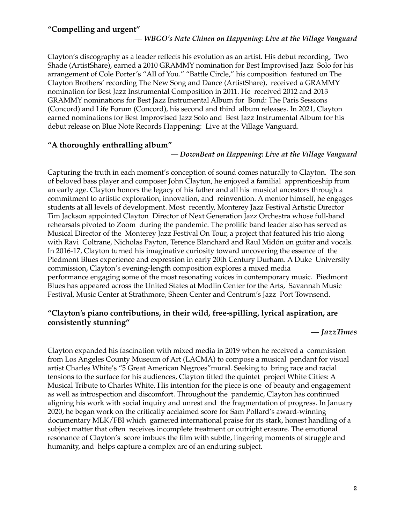#### **"Compelling and urgent"**

#### *— WBGO's Nate Chinen on Happening: Live at the Village Vanguard*

Clayton's discography as a leader reflects his evolution as an artist. His debut recording, Two Shade (ArtistShare), earned a 2010 GRAMMY nomination for Best Improvised Jazz Solo for his arrangement of Cole Porter's "All of You." "Battle Circle," his composition featured on The Clayton Brothers' recording The New Song and Dance (ArtistShare), received a GRAMMY nomination for Best Jazz Instrumental Composition in 2011. He received 2012 and 2013 GRAMMY nominations for Best Jazz Instrumental Album for Bond: The Paris Sessions (Concord) and Life Forum (Concord), his second and third album releases. In 2021, Clayton earned nominations for Best Improvised Jazz Solo and Best Jazz Instrumental Album for his debut release on Blue Note Records Happening: Live at the Village Vanguard.

#### **"A thoroughly enthralling album"**

#### *— DownBeat on Happening: Live at the Village Vanguard*

Capturing the truth in each moment's conception of sound comes naturally to Clayton. The son of beloved bass player and composer John Clayton, he enjoyed a familial apprenticeship from an early age. Clayton honors the legacy of his father and all his musical ancestors through a commitment to artistic exploration, innovation, and reinvention. A mentor himself, he engages students at all levels of development. Most recently, Monterey Jazz Festival Artistic Director Tim Jackson appointed Clayton Director of Next Generation Jazz Orchestra whose full-band rehearsals pivoted to Zoom during the pandemic. The prolific band leader also has served as Musical Director of the Monterey Jazz Festival On Tour, a project that featured his trio along with Ravi Coltrane, Nicholas Payton, Terence Blanchard and Raul Midón on guitar and vocals. In 2016-17, Clayton turned his imaginative curiosity toward uncovering the essence of the Piedmont Blues experience and expression in early 20th Century Durham. A Duke University commission, Clayton's evening-length composition explores a mixed media performance engaging some of the most resonating voices in contemporary music. Piedmont Blues has appeared across the United States at Modlin Center for the Arts, Savannah Music Festival, Music Center at Strathmore, Sheen Center and Centrum's Jazz Port Townsend.

## **"Clayton's piano contributions, in their wild, free-spilling, lyrical aspiration, are consistently stunning"**

#### *— JazzTimes*

Clayton expanded his fascination with mixed media in 2019 when he received a commission from Los Angeles County Museum of Art (LACMA) to compose a musical pendant for visual artist Charles White's "5 Great American Negroes"mural. Seeking to bring race and racial tensions to the surface for his audiences, Clayton titled the quintet project White Cities: A Musical Tribute to Charles White. His intention for the piece is one of beauty and engagement as well as introspection and discomfort. Throughout the pandemic, Clayton has continued aligning his work with social inquiry and unrest and the fragmentation of progress. In January 2020, he began work on the critically acclaimed score for Sam Pollard's award-winning documentary MLK/FBI which garnered international praise for its stark, honest handling of a subject matter that often receives incomplete treatment or outright erasure. The emotional resonance of Clayton's score imbues the film with subtle, lingering moments of struggle and humanity, and helps capture a complex arc of an enduring subject.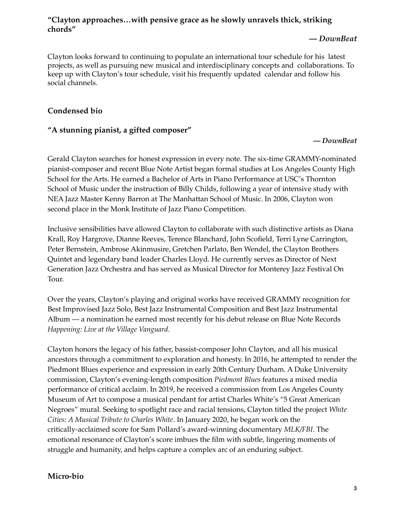# **"Clayton approaches…with pensive grace as he slowly unravels thick, striking chords"**

#### **—** *DownBeat*

Clayton looks forward to continuing to populate an international tour schedule for his latest projects, as well as pursuing new musical and interdisciplinary concepts and collaborations. To keep up with Clayton's tour schedule, visit his frequently updated calendar and follow his social channels.

# **Condensed bio**

# **"A stunning pianist, a gifted composer"**

#### **—** *DownBeat*

Gerald Clayton searches for honest expression in every note. The six-time GRAMMY-nominated pianist-composer and recent Blue Note Artist began formal studies at Los Angeles County High School for the Arts. He earned a Bachelor of Arts in Piano Performance at USC's Thornton School of Music under the instruction of Billy Childs, following a year of intensive study with NEA Jazz Master Kenny Barron at The Manhattan School of Music. In 2006, Clayton won second place in the Monk Institute of Jazz Piano Competition.

Inclusive sensibilities have allowed Clayton to collaborate with such distinctive artists as Diana Krall, Roy Hargrove, Dianne Reeves, Terence Blanchard, John Scofield, Terri Lyne Carrington, Peter Bernstein, Ambrose Akinmusire, Gretchen Parlato, Ben Wendel, the Clayton Brothers Quintet and legendary band leader Charles Lloyd. He currently serves as Director of Next Generation Jazz Orchestra and has served as Musical Director for Monterey Jazz Festival On Tour.

Over the years, Clayton's playing and original works have received GRAMMY recognition for Best Improvised Jazz Solo, Best Jazz Instrumental Composition and Best Jazz Instrumental Album — a nomination he earned most recently for his debut release on Blue Note Records *Happening: Live at the Village Vanguard.*

Clayton honors the legacy of his father, bassist-composer John Clayton, and all his musical ancestors through a commitment to exploration and honesty. In 2016, he attempted to render the Piedmont Blues experience and expression in early 20th Century Durham. A Duke University commission, Clayton's evening-length composition *Piedmont Blues* features a mixed media performance of critical acclaim. In 2019, he received a commission from Los Angeles County Museum of Art to compose a musical pendant for artist Charles White's "5 Great American Negroes" mural. Seeking to spotlight race and racial tensions, Clayton titled the project *White Cities: A Musical Tribute to Charles White*. In January 2020, he began work on the critically-acclaimed score for Sam Pollard's award-winning documentary *MLK/FBI*. The emotional resonance of Clayton's score imbues the film with subtle, lingering moments of struggle and humanity, and helps capture a complex arc of an enduring subject.

## **Micro-bio**